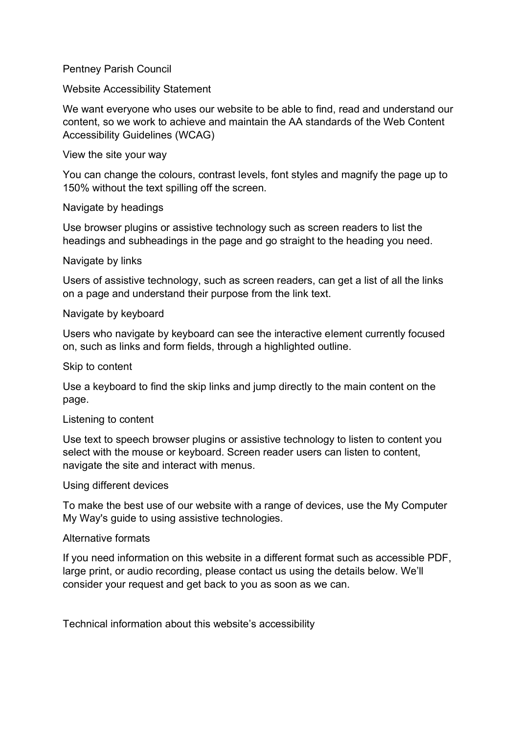## Pentney Parish Council

Website Accessibility Statement

We want everyone who uses our website to be able to find, read and understand our content, so we work to achieve and maintain the AA standards of the Web Content Accessibility Guidelines (WCAG)

View the site your way

You can change the colours, contrast levels, font styles and magnify the page up to 150% without the text spilling off the screen.

Navigate by headings

Use browser plugins or assistive technology such as screen readers to list the headings and subheadings in the page and go straight to the heading you need.

Navigate by links

Users of assistive technology, such as screen readers, can get a list of all the links on a page and understand their purpose from the link text.

#### Navigate by keyboard

Users who navigate by keyboard can see the interactive element currently focused on, such as links and form fields, through a highlighted outline.

Skip to content

Use a keyboard to find the skip links and jump directly to the main content on the page.

## Listening to content

Use text to speech browser plugins or assistive technology to listen to content you select with the mouse or keyboard. Screen reader users can listen to content, navigate the site and interact with menus.

Using different devices

To make the best use of our website with a range of devices, use the My Computer My Way's guide to using assistive technologies.

#### Alternative formats

If you need information on this website in a different format such as accessible PDF, large print, or audio recording, please contact us using the details below. We'll consider your request and get back to you as soon as we can.

Technical information about this website's accessibility